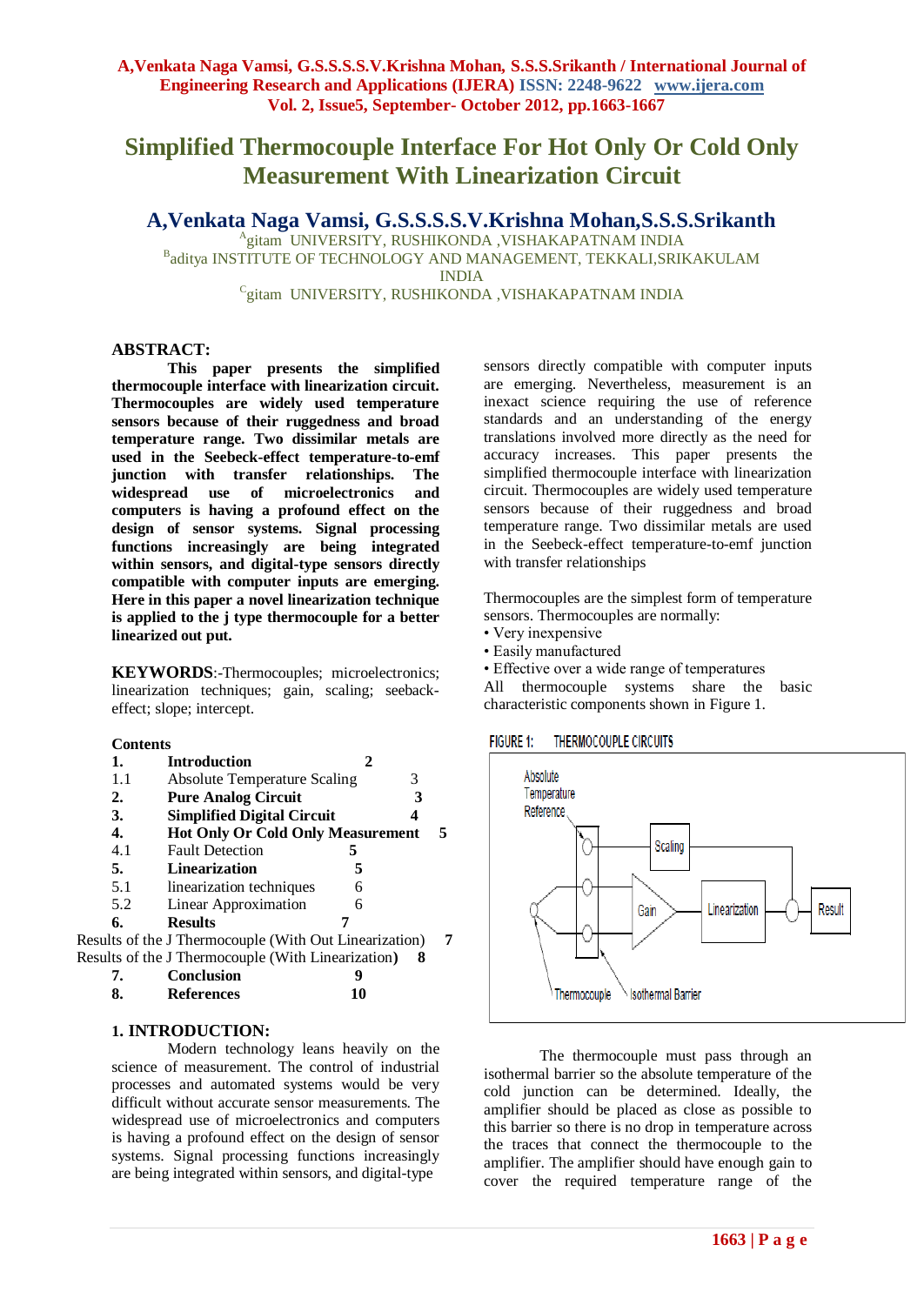# **Simplified Thermocouple Interface For Hot Only Or Cold Only Measurement With Linearization Circuit**

**A,Venkata Naga Vamsi, G.S.S.S.S.V.Krishna Mohan,S.S.S.Srikanth**

Agitam UNIVERSITY, RUSHIKONDA, VISHAKAPATNAM INDIA <sup>B</sup>aditya INSTITUTE OF TECHNOLOGY AND MANAGEMENT, TEKKALI,SRIKAKULAM INDIA

<sup>C</sup>gitam UNIVERSITY, RUSHIKONDA ,VISHAKAPATNAM INDIA

#### **ABSTRACT:**

**This paper presents the simplified thermocouple interface with linearization circuit. Thermocouples are widely used temperature sensors because of their ruggedness and broad temperature range. Two dissimilar metals are used in the Seebeck-effect temperature-to-emf junction with transfer relationships. The widespread use of microelectronics and computers is having a profound effect on the design of sensor systems. Signal processing functions increasingly are being integrated within sensors, and digital-type sensors directly compatible with computer inputs are emerging. Here in this paper a novel linearization technique is applied to the j type thermocouple for a better linearized out put.**

**KEYWORDS**:-Thermocouples; microelectronics; linearization techniques; gain, scaling; seebackeffect; slope; intercept.

#### **Contents**

|     | <b>Introduction</b>                                    |   |   |   |
|-----|--------------------------------------------------------|---|---|---|
| 1.1 | <b>Absolute Temperature Scaling</b>                    |   | 3 |   |
| 2.  | <b>Pure Analog Circuit</b>                             |   | 3 |   |
| 3.  | <b>Simplified Digital Circuit</b>                      |   |   |   |
| 4.  | <b>Hot Only Or Cold Only Measurement</b>               |   |   |   |
| 4.1 | <b>Fault Detection</b>                                 |   |   |   |
| 5.  | <b>Linearization</b>                                   | 5 |   |   |
| 5.1 | linearization techniques                               | 6 |   |   |
| 5.2 | <b>Linear Approximation</b>                            | 6 |   |   |
| 6.  | <b>Results</b>                                         |   |   |   |
|     | Results of the J Thermocouple (With Out Linearization) |   |   | 7 |
|     | Results of the J Thermocouple (With Linearization)     |   | x |   |

| <b>Conclusion</b> |    |
|-------------------|----|
| <b>References</b> | 10 |

## **1. INTRODUCTION:**

Modern technology leans heavily on the science of measurement. The control of industrial processes and automated systems would be very difficult without accurate sensor measurements. The widespread use of microelectronics and computers is having a profound effect on the design of sensor systems. Signal processing functions increasingly are being integrated within sensors, and digital-type

sensors directly compatible with computer inputs are emerging. Nevertheless, measurement is an inexact science requiring the use of reference standards and an understanding of the energy translations involved more directly as the need for accuracy increases. This paper presents the simplified thermocouple interface with linearization circuit. Thermocouples are widely used temperature sensors because of their ruggedness and broad temperature range. Two dissimilar metals are used in the Seebeck-effect temperature-to-emf junction with transfer relationships

Thermocouples are the simplest form of temperature sensors. Thermocouples are normally:

- Very inexpensive
- Easily manufactured

• Effective over a wide range of temperatures

All thermocouple systems share the basic characteristic components shown in Figure 1.

**FIGURE 1: THERMOCOUPLE CIRCUITS** 



The thermocouple must pass through an isothermal barrier so the absolute temperature of the cold junction can be determined. Ideally, the amplifier should be placed as close as possible to this barrier so there is no drop in temperature across the traces that connect the thermocouple to the amplifier. The amplifier should have enough gain to cover the required temperature range of the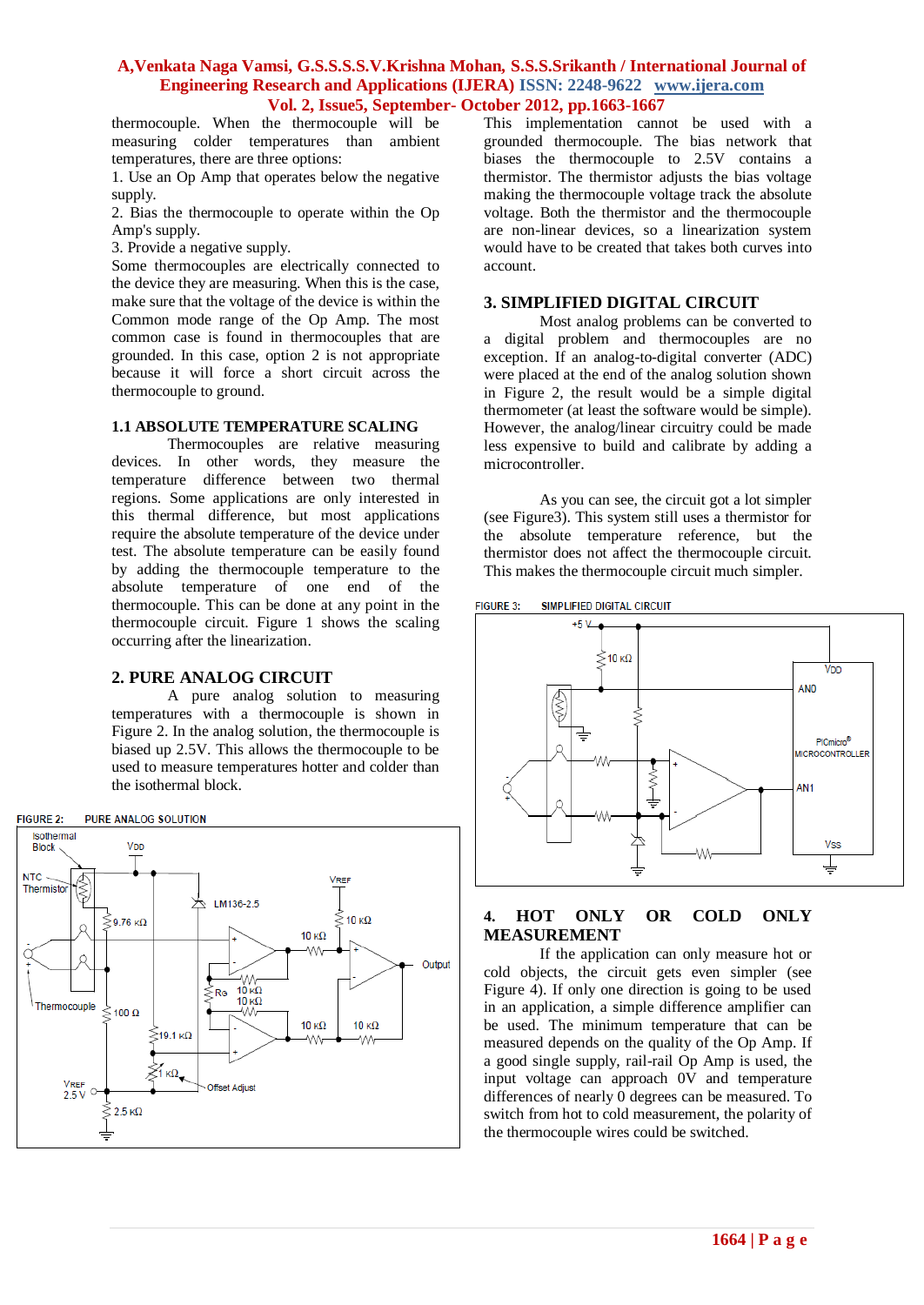thermocouple. When the thermocouple will be measuring colder temperatures than ambient temperatures, there are three options:

1. Use an Op Amp that operates below the negative supply.

2. Bias the thermocouple to operate within the Op Amp's supply.

3. Provide a negative supply.

Some thermocouples are electrically connected to the device they are measuring. When this is the case, make sure that the voltage of the device is within the Common mode range of the Op Amp. The most common case is found in thermocouples that are grounded. In this case, option 2 is not appropriate because it will force a short circuit across the thermocouple to ground.

#### **1.1 ABSOLUTE TEMPERATURE SCALING**

Thermocouples are relative measuring devices. In other words, they measure the temperature difference between two thermal regions. Some applications are only interested in this thermal difference, but most applications require the absolute temperature of the device under test. The absolute temperature can be easily found by adding the thermocouple temperature to the absolute temperature of one end of the thermocouple. This can be done at any point in the thermocouple circuit. Figure 1 shows the scaling occurring after the linearization.

## **2. PURE ANALOG CIRCUIT**

A pure analog solution to measuring temperatures with a thermocouple is shown in Figure 2. In the analog solution, the thermocouple is biased up 2.5V. This allows the thermocouple to be used to measure temperatures hotter and colder than the isothermal block.



This implementation cannot be used with a grounded thermocouple. The bias network that biases the thermocouple to 2.5V contains a thermistor. The thermistor adjusts the bias voltage making the thermocouple voltage track the absolute voltage. Both the thermistor and the thermocouple are non-linear devices, so a linearization system would have to be created that takes both curves into account.

## **3. SIMPLIFIED DIGITAL CIRCUIT**

Most analog problems can be converted to a digital problem and thermocouples are no exception. If an analog-to-digital converter (ADC) were placed at the end of the analog solution shown in Figure 2, the result would be a simple digital thermometer (at least the software would be simple). However, the analog/linear circuitry could be made less expensive to build and calibrate by adding a microcontroller.

As you can see, the circuit got a lot simpler (see Figure3). This system still uses a thermistor for the absolute temperature reference, but the thermistor does not affect the thermocouple circuit. This makes the thermocouple circuit much simpler.

SIMPLIFIED DIGITAL CIRCUIT **FIGURE 3:** 



# **4. HOT ONLY OR COLD ONLY MEASUREMENT**

If the application can only measure hot or cold objects, the circuit gets even simpler (see Figure 4). If only one direction is going to be used in an application, a simple difference amplifier can be used. The minimum temperature that can be measured depends on the quality of the Op Amp. If a good single supply, rail-rail Op Amp is used, the input voltage can approach 0V and temperature differences of nearly 0 degrees can be measured. To switch from hot to cold measurement, the polarity of the thermocouple wires could be switched.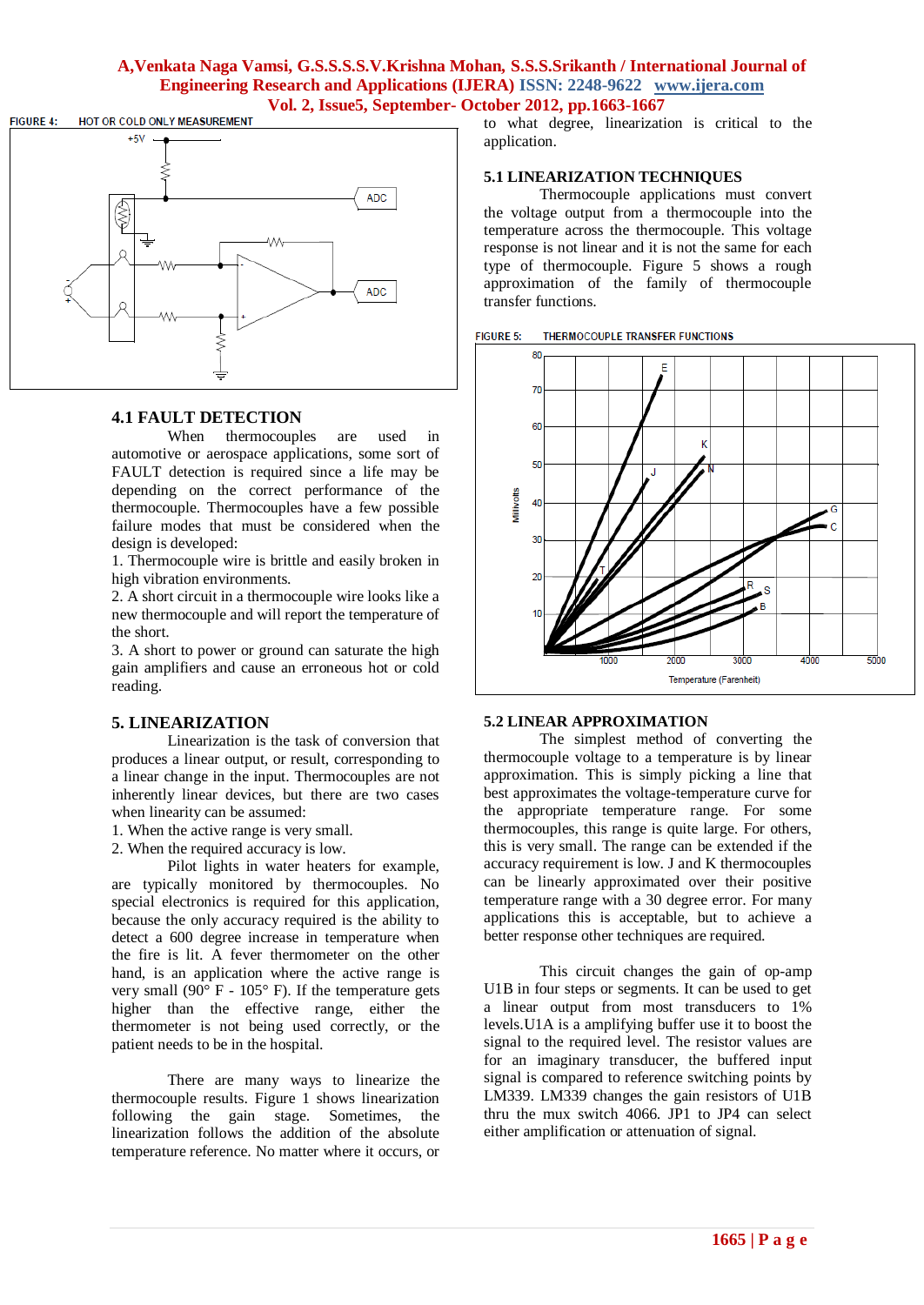

## **4.1 FAULT DETECTION**

When thermocouples are used in automotive or aerospace applications, some sort of FAULT detection is required since a life may be depending on the correct performance of the thermocouple. Thermocouples have a few possible failure modes that must be considered when the design is developed:

1. Thermocouple wire is brittle and easily broken in high vibration environments.

2. A short circuit in a thermocouple wire looks like a new thermocouple and will report the temperature of the short.

3. A short to power or ground can saturate the high gain amplifiers and cause an erroneous hot or cold reading.

#### **5. LINEARIZATION**

Linearization is the task of conversion that produces a linear output, or result, corresponding to a linear change in the input. Thermocouples are not inherently linear devices, but there are two cases when linearity can be assumed:

1. When the active range is very small.

2. When the required accuracy is low.

Pilot lights in water heaters for example, are typically monitored by thermocouples. No special electronics is required for this application, because the only accuracy required is the ability to detect a 600 degree increase in temperature when the fire is lit. A fever thermometer on the other hand, is an application where the active range is very small  $(90^{\circ}$  F - 105° F). If the temperature gets higher than the effective range, either the thermometer is not being used correctly, or the patient needs to be in the hospital.

There are many ways to linearize the thermocouple results. Figure 1 shows linearization following the gain stage. Sometimes, the linearization follows the addition of the absolute temperature reference. No matter where it occurs, or

to what degree, linearization is critical to the application.

#### **5.1 LINEARIZATION TECHNIQUES**

Thermocouple applications must convert the voltage output from a thermocouple into the temperature across the thermocouple. This voltage response is not linear and it is not the same for each type of thermocouple. Figure 5 shows a rough approximation of the family of thermocouple transfer functions.





#### **5.2 LINEAR APPROXIMATION**

The simplest method of converting the thermocouple voltage to a temperature is by linear approximation. This is simply picking a line that best approximates the voltage-temperature curve for the appropriate temperature range. For some thermocouples, this range is quite large. For others, this is very small. The range can be extended if the accuracy requirement is low. J and K thermocouples can be linearly approximated over their positive temperature range with a 30 degree error. For many applications this is acceptable, but to achieve a better response other techniques are required.

This circuit changes the gain of op-amp U1B in four steps or segments. It can be used to get a linear output from most transducers to 1% levels.U1A is a amplifying buffer use it to boost the signal to the required level. The resistor values are for an imaginary transducer, the buffered input signal is compared to reference switching points by LM339. LM339 changes the gain resistors of U1B thru the mux switch 4066. JP1 to JP4 can select either amplification or attenuation of signal.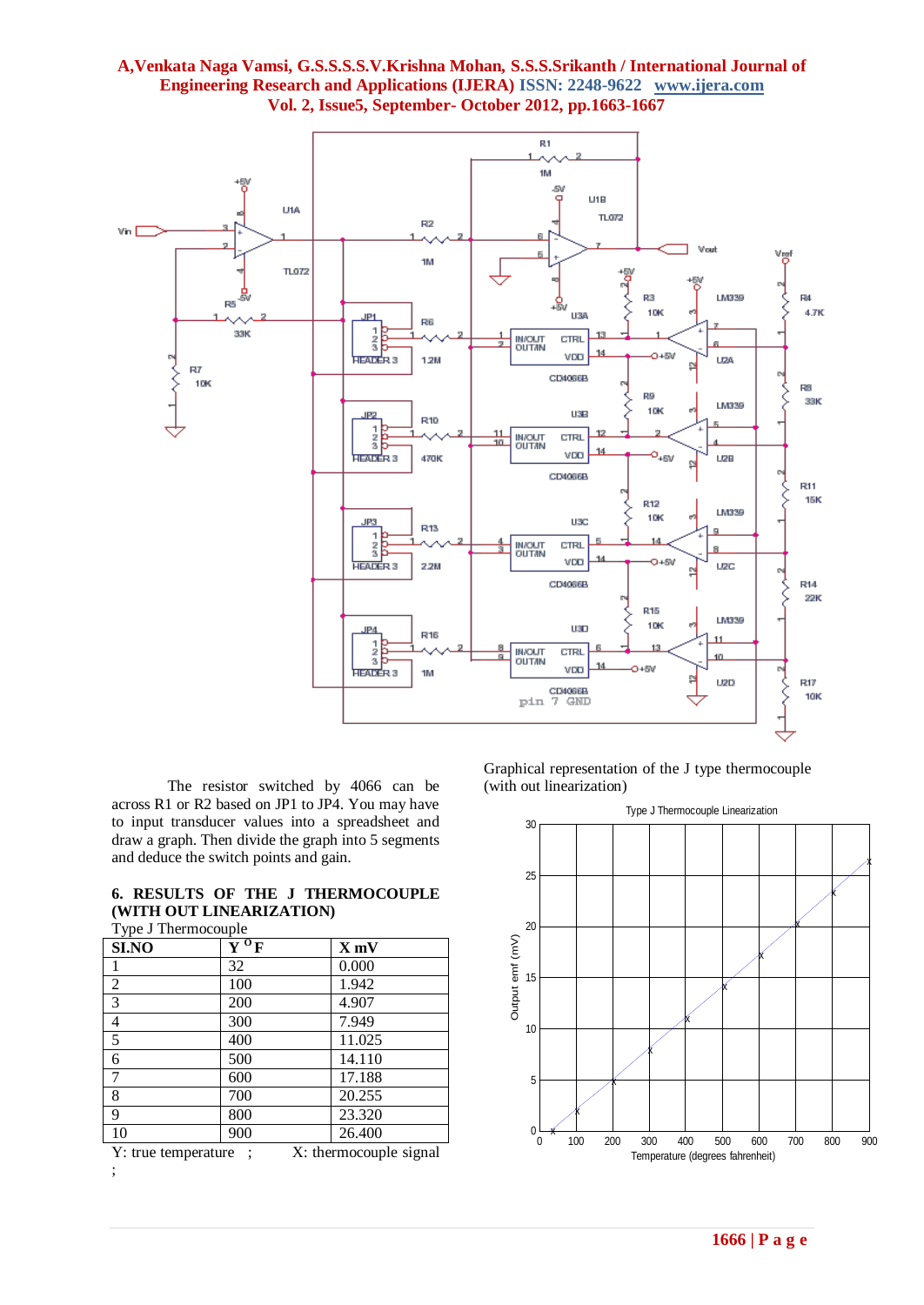

The resistor switched by 4066 can be across R1 or R2 based on JP1 to JP4. You may have to input transducer values into a spreadsheet and draw a graph. Then divide the graph into 5 segments and deduce the switch points and gain.

|                          |  | 6. RESULTS OF THE J THERMOCOUPLE |
|--------------------------|--|----------------------------------|
| (WITH OUT LINEARIZATION) |  |                                  |
| __ _ _                   |  |                                  |

| Type J Thermocouple |  |
|---------------------|--|
|                     |  |

| SI.NO          | $\overline{Y}^0$ F | $X$ mV |
|----------------|--------------------|--------|
| 1              | 32                 | 0.000  |
| $\overline{2}$ | 100                | 1.942  |
| $\overline{3}$ | 200                | 4.907  |
| $\overline{4}$ | 300                | 7.949  |
| $\overline{5}$ | 400                | 11.025 |
| 6              | 500                | 14.110 |
| $\overline{7}$ | 600                | 17.188 |
| 8              | 700                | 20.255 |
| 9              | 800                | 23.320 |
| 10             | 900                | 26.400 |
| $ -$           | -- -               |        |

Y: true temperature ; X: thermocouple signal ;

Graphical representation of the J type thermocouple (with out linearization)